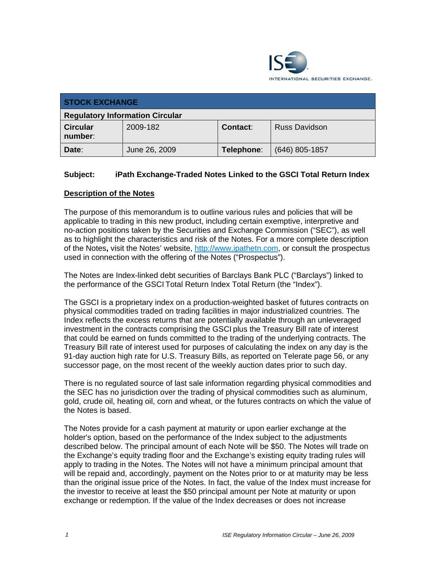

| <b>STOCK EXCHANGE</b>                  |               |            |                      |
|----------------------------------------|---------------|------------|----------------------|
| <b>Regulatory Information Circular</b> |               |            |                      |
| <b>Circular</b><br>number:             | 2009-182      | Contact:   | <b>Russ Davidson</b> |
| Date:                                  | June 26, 2009 | Telephone: | (646) 805-1857       |

## **Subject: iPath Exchange-Traded Notes Linked to the GSCI Total Return Index**

### **Description of the Notes**

The purpose of this memorandum is to outline various rules and policies that will be applicable to trading in this new product, including certain exemptive, interpretive and no-action positions taken by the Securities and Exchange Commission ("SEC"), as well as to highlight the characteristics and risk of the Notes. For a more complete description of the Notes**,** visit the Notes' website, http://www.ipathetn.com, or consult the prospectus used in connection with the offering of the Notes ("Prospectus").

The Notes are Index-linked debt securities of Barclays Bank PLC ("Barclays") linked to the performance of the GSCI Total Return Index Total Return (the "Index").

The GSCI is a proprietary index on a production-weighted basket of futures contracts on physical commodities traded on trading facilities in major industrialized countries. The Index reflects the excess returns that are potentially available through an unleveraged investment in the contracts comprising the GSCI plus the Treasury Bill rate of interest that could be earned on funds committed to the trading of the underlying contracts. The Treasury Bill rate of interest used for purposes of calculating the index on any day is the 91-day auction high rate for U.S. Treasury Bills, as reported on Telerate page 56, or any successor page, on the most recent of the weekly auction dates prior to such day.

There is no regulated source of last sale information regarding physical commodities and the SEC has no jurisdiction over the trading of physical commodities such as aluminum, gold, crude oil, heating oil, corn and wheat, or the futures contracts on which the value of the Notes is based.

The Notes provide for a cash payment at maturity or upon earlier exchange at the holder's option, based on the performance of the Index subject to the adjustments described below. The principal amount of each Note will be \$50. The Notes will trade on the Exchange's equity trading floor and the Exchange's existing equity trading rules will apply to trading in the Notes. The Notes will not have a minimum principal amount that will be repaid and, accordingly, payment on the Notes prior to or at maturity may be less than the original issue price of the Notes. In fact, the value of the Index must increase for the investor to receive at least the \$50 principal amount per Note at maturity or upon exchange or redemption. If the value of the Index decreases or does not increase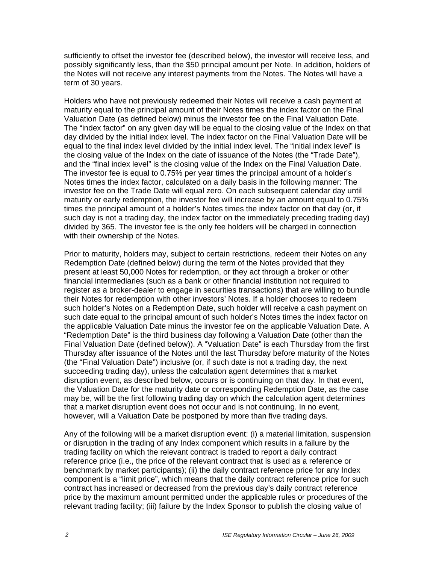sufficiently to offset the investor fee (described below), the investor will receive less, and possibly significantly less, than the \$50 principal amount per Note. In addition, holders of the Notes will not receive any interest payments from the Notes. The Notes will have a term of 30 years.

Holders who have not previously redeemed their Notes will receive a cash payment at maturity equal to the principal amount of their Notes times the index factor on the Final Valuation Date (as defined below) minus the investor fee on the Final Valuation Date. The "index factor" on any given day will be equal to the closing value of the Index on that day divided by the initial index level. The index factor on the Final Valuation Date will be equal to the final index level divided by the initial index level. The "initial index level" is the closing value of the Index on the date of issuance of the Notes (the "Trade Date"), and the "final index level" is the closing value of the Index on the Final Valuation Date. The investor fee is equal to 0.75% per year times the principal amount of a holder's Notes times the index factor, calculated on a daily basis in the following manner: The investor fee on the Trade Date will equal zero. On each subsequent calendar day until maturity or early redemption, the investor fee will increase by an amount equal to 0.75% times the principal amount of a holder's Notes times the index factor on that day (or, if such day is not a trading day, the index factor on the immediately preceding trading day) divided by 365. The investor fee is the only fee holders will be charged in connection with their ownership of the Notes.

Prior to maturity, holders may, subject to certain restrictions, redeem their Notes on any Redemption Date (defined below) during the term of the Notes provided that they present at least 50,000 Notes for redemption, or they act through a broker or other financial intermediaries (such as a bank or other financial institution not required to register as a broker-dealer to engage in securities transactions) that are willing to bundle their Notes for redemption with other investors' Notes. If a holder chooses to redeem such holder's Notes on a Redemption Date, such holder will receive a cash payment on such date equal to the principal amount of such holder's Notes times the index factor on the applicable Valuation Date minus the investor fee on the applicable Valuation Date. A "Redemption Date" is the third business day following a Valuation Date (other than the Final Valuation Date (defined below)). A "Valuation Date" is each Thursday from the first Thursday after issuance of the Notes until the last Thursday before maturity of the Notes (the "Final Valuation Date") inclusive (or, if such date is not a trading day, the next succeeding trading day), unless the calculation agent determines that a market disruption event, as described below, occurs or is continuing on that day. In that event, the Valuation Date for the maturity date or corresponding Redemption Date, as the case may be, will be the first following trading day on which the calculation agent determines that a market disruption event does not occur and is not continuing. In no event, however, will a Valuation Date be postponed by more than five trading days.

Any of the following will be a market disruption event: (i) a material limitation, suspension or disruption in the trading of any Index component which results in a failure by the trading facility on which the relevant contract is traded to report a daily contract reference price (i.e., the price of the relevant contract that is used as a reference or benchmark by market participants); (ii) the daily contract reference price for any Index component is a "limit price", which means that the daily contract reference price for such contract has increased or decreased from the previous day's daily contract reference price by the maximum amount permitted under the applicable rules or procedures of the relevant trading facility; (iii) failure by the Index Sponsor to publish the closing value of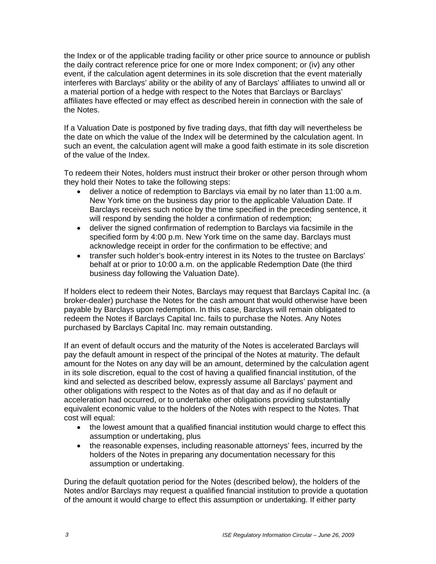the Index or of the applicable trading facility or other price source to announce or publish the daily contract reference price for one or more Index component; or (iv) any other event, if the calculation agent determines in its sole discretion that the event materially interferes with Barclays' ability or the ability of any of Barclays' affiliates to unwind all or a material portion of a hedge with respect to the Notes that Barclays or Barclays' affiliates have effected or may effect as described herein in connection with the sale of the Notes.

If a Valuation Date is postponed by five trading days, that fifth day will nevertheless be the date on which the value of the Index will be determined by the calculation agent. In such an event, the calculation agent will make a good faith estimate in its sole discretion of the value of the Index.

To redeem their Notes, holders must instruct their broker or other person through whom they hold their Notes to take the following steps:

- deliver a notice of redemption to Barclays via email by no later than 11:00 a.m. New York time on the business day prior to the applicable Valuation Date. If Barclays receives such notice by the time specified in the preceding sentence, it will respond by sending the holder a confirmation of redemption;
- deliver the signed confirmation of redemption to Barclays via facsimile in the specified form by 4:00 p.m. New York time on the same day. Barclays must acknowledge receipt in order for the confirmation to be effective; and
- transfer such holder's book-entry interest in its Notes to the trustee on Barclays' behalf at or prior to 10:00 a.m. on the applicable Redemption Date (the third business day following the Valuation Date).

If holders elect to redeem their Notes, Barclays may request that Barclays Capital Inc. (a broker-dealer) purchase the Notes for the cash amount that would otherwise have been payable by Barclays upon redemption. In this case, Barclays will remain obligated to redeem the Notes if Barclays Capital Inc. fails to purchase the Notes. Any Notes purchased by Barclays Capital Inc. may remain outstanding.

If an event of default occurs and the maturity of the Notes is accelerated Barclays will pay the default amount in respect of the principal of the Notes at maturity. The default amount for the Notes on any day will be an amount, determined by the calculation agent in its sole discretion, equal to the cost of having a qualified financial institution, of the kind and selected as described below, expressly assume all Barclays' payment and other obligations with respect to the Notes as of that day and as if no default or acceleration had occurred, or to undertake other obligations providing substantially equivalent economic value to the holders of the Notes with respect to the Notes. That cost will equal:

- the lowest amount that a qualified financial institution would charge to effect this assumption or undertaking, plus
- the reasonable expenses, including reasonable attorneys' fees, incurred by the holders of the Notes in preparing any documentation necessary for this assumption or undertaking.

During the default quotation period for the Notes (described below), the holders of the Notes and/or Barclays may request a qualified financial institution to provide a quotation of the amount it would charge to effect this assumption or undertaking. If either party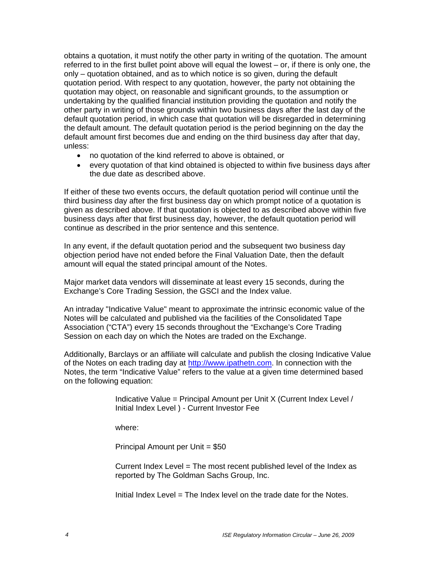obtains a quotation, it must notify the other party in writing of the quotation. The amount referred to in the first bullet point above will equal the lowest – or, if there is only one, the only – quotation obtained, and as to which notice is so given, during the default quotation period. With respect to any quotation, however, the party not obtaining the quotation may object, on reasonable and significant grounds, to the assumption or undertaking by the qualified financial institution providing the quotation and notify the other party in writing of those grounds within two business days after the last day of the default quotation period, in which case that quotation will be disregarded in determining the default amount. The default quotation period is the period beginning on the day the default amount first becomes due and ending on the third business day after that day, unless:

- no quotation of the kind referred to above is obtained, or
- every quotation of that kind obtained is objected to within five business days after the due date as described above.

If either of these two events occurs, the default quotation period will continue until the third business day after the first business day on which prompt notice of a quotation is given as described above. If that quotation is objected to as described above within five business days after that first business day, however, the default quotation period will continue as described in the prior sentence and this sentence.

In any event, if the default quotation period and the subsequent two business day objection period have not ended before the Final Valuation Date, then the default amount will equal the stated principal amount of the Notes.

Major market data vendors will disseminate at least every 15 seconds, during the Exchange's Core Trading Session, the GSCI and the Index value.

An intraday "Indicative Value" meant to approximate the intrinsic economic value of the Notes will be calculated and published via the facilities of the Consolidated Tape Association ("CTA") every 15 seconds throughout the "Exchange's Core Trading Session on each day on which the Notes are traded on the Exchange.

Additionally, Barclays or an affiliate will calculate and publish the closing Indicative Value of the Notes on each trading day at http://www.ipathetn.com. In connection with the Notes, the term "Indicative Value" refers to the value at a given time determined based on the following equation:

> Indicative Value = Principal Amount per Unit X (Current Index Level / Initial Index Level ) - Current Investor Fee

where:

Principal Amount per Unit = \$50

Current Index Level = The most recent published level of the Index as reported by The Goldman Sachs Group, Inc.

Initial Index Level = The Index level on the trade date for the Notes.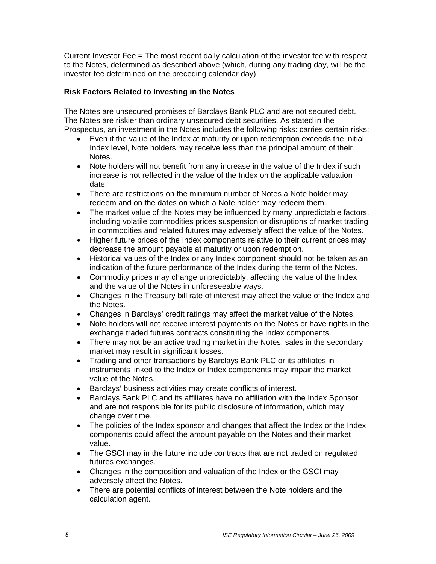Current Investor Fee = The most recent daily calculation of the investor fee with respect to the Notes, determined as described above (which, during any trading day, will be the investor fee determined on the preceding calendar day).

# **Risk Factors Related to Investing in the Notes**

The Notes are unsecured promises of Barclays Bank PLC and are not secured debt. The Notes are riskier than ordinary unsecured debt securities. As stated in the Prospectus, an investment in the Notes includes the following risks: carries certain risks:

- Even if the value of the Index at maturity or upon redemption exceeds the initial Index level, Note holders may receive less than the principal amount of their Notes.
- Note holders will not benefit from any increase in the value of the Index if such increase is not reflected in the value of the Index on the applicable valuation date.
- There are restrictions on the minimum number of Notes a Note holder may redeem and on the dates on which a Note holder may redeem them.
- The market value of the Notes may be influenced by many unpredictable factors, including volatile commodities prices suspension or disruptions of market trading in commodities and related futures may adversely affect the value of the Notes.
- Higher future prices of the Index components relative to their current prices may decrease the amount payable at maturity or upon redemption.
- Historical values of the Index or any Index component should not be taken as an indication of the future performance of the Index during the term of the Notes.
- Commodity prices may change unpredictably, affecting the value of the Index and the value of the Notes in unforeseeable ways.
- Changes in the Treasury bill rate of interest may affect the value of the Index and the Notes.
- Changes in Barclays' credit ratings may affect the market value of the Notes.
- Note holders will not receive interest payments on the Notes or have rights in the exchange traded futures contracts constituting the Index components.
- There may not be an active trading market in the Notes; sales in the secondary market may result in significant losses.
- Trading and other transactions by Barclays Bank PLC or its affiliates in instruments linked to the Index or Index components may impair the market value of the Notes.
- Barclays' business activities may create conflicts of interest.
- Barclays Bank PLC and its affiliates have no affiliation with the Index Sponsor and are not responsible for its public disclosure of information, which may change over time.
- The policies of the Index sponsor and changes that affect the Index or the Index components could affect the amount payable on the Notes and their market value.
- The GSCI may in the future include contracts that are not traded on regulated futures exchanges.
- Changes in the composition and valuation of the Index or the GSCI may adversely affect the Notes.
- There are potential conflicts of interest between the Note holders and the calculation agent.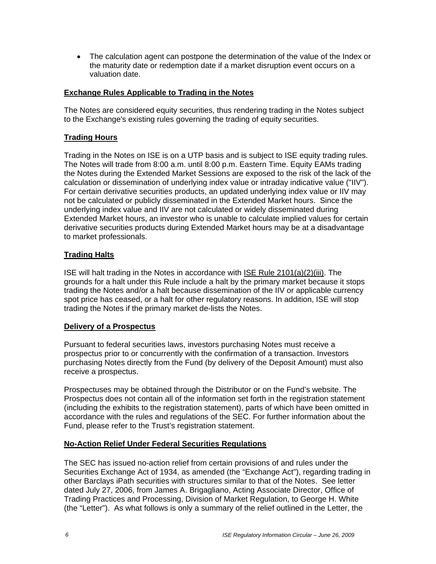• The calculation agent can postpone the determination of the value of the Index or the maturity date or redemption date if a market disruption event occurs on a valuation date.

### **Exchange Rules Applicable to Trading in the Notes**

The Notes are considered equity securities, thus rendering trading in the Notes subject to the Exchange's existing rules governing the trading of equity securities.

### **Trading Hours**

Trading in the Notes on ISE is on a UTP basis and is subject to ISE equity trading rules. The Notes will trade from 8:00 a.m. until 8:00 p.m. Eastern Time. Equity EAMs trading the Notes during the Extended Market Sessions are exposed to the risk of the lack of the calculation or dissemination of underlying index value or intraday indicative value ("IIV"). For certain derivative securities products, an updated underlying index value or IIV may not be calculated or publicly disseminated in the Extended Market hours. Since the underlying index value and IIV are not calculated or widely disseminated during Extended Market hours, an investor who is unable to calculate implied values for certain derivative securities products during Extended Market hours may be at a disadvantage to market professionals.

#### **Trading Halts**

ISE will halt trading in the Notes in accordance with ISE Rule 2101(a)(2)(iii). The grounds for a halt under this Rule include a halt by the primary market because it stops trading the Notes and/or a halt because dissemination of the IIV or applicable currency spot price has ceased, or a halt for other regulatory reasons. In addition, ISE will stop trading the Notes if the primary market de-lists the Notes.

#### **Delivery of a Prospectus**

Pursuant to federal securities laws, investors purchasing Notes must receive a prospectus prior to or concurrently with the confirmation of a transaction. Investors purchasing Notes directly from the Fund (by delivery of the Deposit Amount) must also receive a prospectus.

Prospectuses may be obtained through the Distributor or on the Fund's website. The Prospectus does not contain all of the information set forth in the registration statement (including the exhibits to the registration statement), parts of which have been omitted in accordance with the rules and regulations of the SEC. For further information about the Fund, please refer to the Trust's registration statement.

### **No-Action Relief Under Federal Securities Regulations**

The SEC has issued no-action relief from certain provisions of and rules under the Securities Exchange Act of 1934, as amended (the "Exchange Act"), regarding trading in other Barclays iPath securities with structures similar to that of the Notes. See letter dated July 27, 2006, from James A. Brigagliano, Acting Associate Director, Office of Trading Practices and Processing, Division of Market Regulation, to George H. White (the "Letter"). As what follows is only a summary of the relief outlined in the Letter, the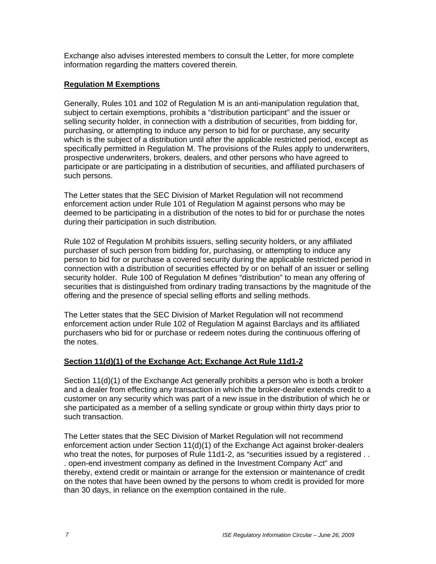Exchange also advises interested members to consult the Letter, for more complete information regarding the matters covered therein.

### **Regulation M Exemptions**

Generally, Rules 101 and 102 of Regulation M is an anti-manipulation regulation that, subject to certain exemptions, prohibits a "distribution participant" and the issuer or selling security holder, in connection with a distribution of securities, from bidding for, purchasing, or attempting to induce any person to bid for or purchase, any security which is the subject of a distribution until after the applicable restricted period, except as specifically permitted in Regulation M. The provisions of the Rules apply to underwriters, prospective underwriters, brokers, dealers, and other persons who have agreed to participate or are participating in a distribution of securities, and affiliated purchasers of such persons.

The Letter states that the SEC Division of Market Regulation will not recommend enforcement action under Rule 101 of Regulation M against persons who may be deemed to be participating in a distribution of the notes to bid for or purchase the notes during their participation in such distribution.

Rule 102 of Regulation M prohibits issuers, selling security holders, or any affiliated purchaser of such person from bidding for, purchasing, or attempting to induce any person to bid for or purchase a covered security during the applicable restricted period in connection with a distribution of securities effected by or on behalf of an issuer or selling security holder. Rule 100 of Regulation M defines "distribution" to mean any offering of securities that is distinguished from ordinary trading transactions by the magnitude of the offering and the presence of special selling efforts and selling methods.

The Letter states that the SEC Division of Market Regulation will not recommend enforcement action under Rule 102 of Regulation M against Barclays and its affiliated purchasers who bid for or purchase or redeem notes during the continuous offering of the notes.

### **Section 11(d)(1) of the Exchange Act; Exchange Act Rule 11d1-2**

Section 11(d)(1) of the Exchange Act generally prohibits a person who is both a broker and a dealer from effecting any transaction in which the broker-dealer extends credit to a customer on any security which was part of a new issue in the distribution of which he or she participated as a member of a selling syndicate or group within thirty days prior to such transaction.

The Letter states that the SEC Division of Market Regulation will not recommend enforcement action under Section 11(d)(1) of the Exchange Act against broker-dealers who treat the notes, for purposes of Rule 11d1-2, as "securities issued by a registered . . . open-end investment company as defined in the Investment Company Act" and thereby, extend credit or maintain or arrange for the extension or maintenance of credit on the notes that have been owned by the persons to whom credit is provided for more than 30 days, in reliance on the exemption contained in the rule.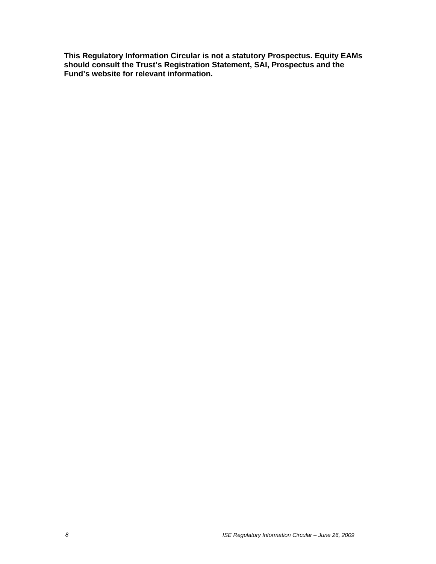**This Regulatory Information Circular is not a statutory Prospectus. Equity EAMs should consult the Trust's Registration Statement, SAI, Prospectus and the Fund's website for relevant information.**